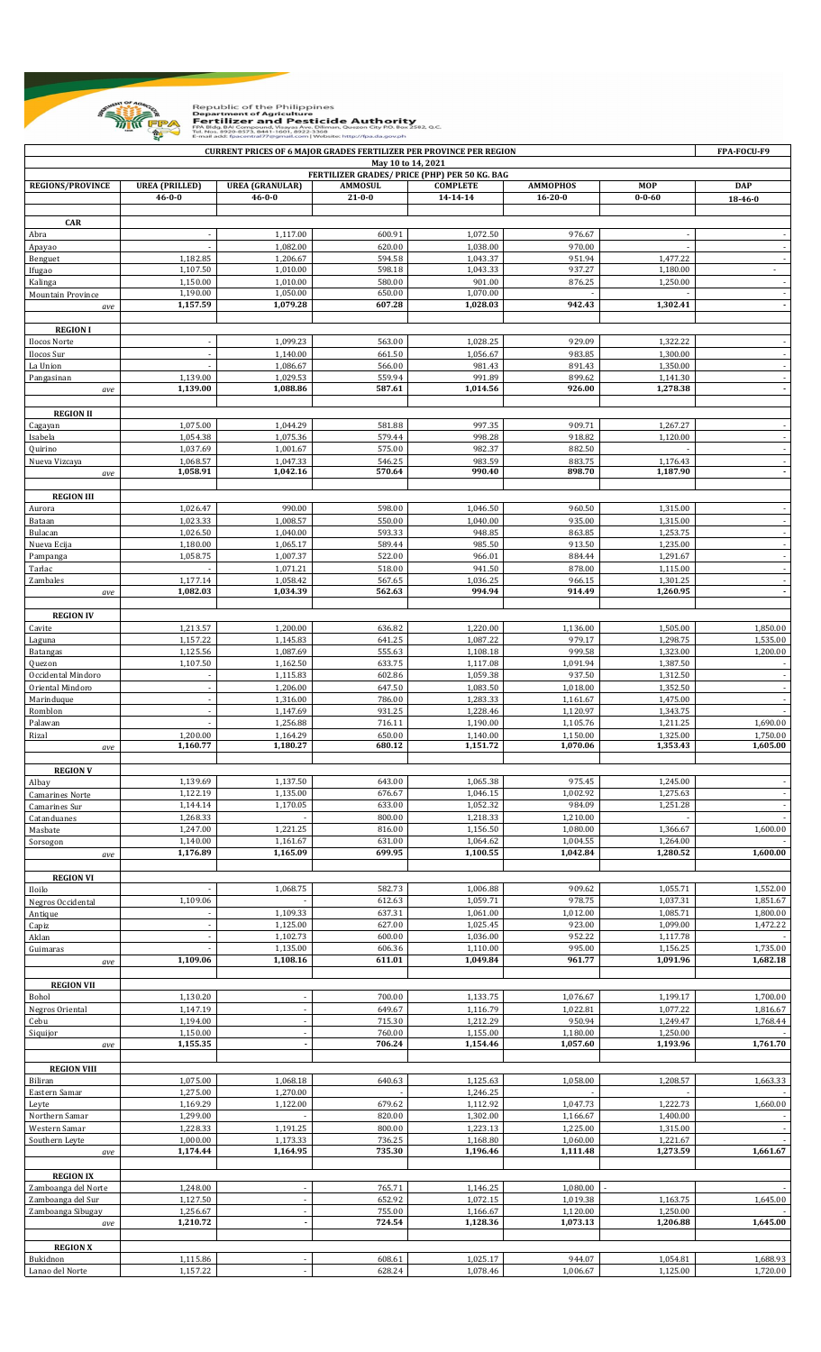

Republic of the Philippines<br>**Department of Agriculture<br>Fertilizer and Pesticide Authority**<br>FPA Blds BAI Compound, Yisoya Aye, Dilman, Quezon City P.O. Box 2582, Q.C.<br>FM Blds BAI Compound, Yisoya Aye, Dilman, Quezon City P.

|                               |                       |                        |                  | <b>CURRENT PRICES OF 6 MAJOR GRADES FERTILIZER PER PROVINCE PER REGION</b> |                      |                      | FPA-FOCU-F9              |
|-------------------------------|-----------------------|------------------------|------------------|----------------------------------------------------------------------------|----------------------|----------------------|--------------------------|
|                               |                       |                        |                  | May 10 to 14, 2021                                                         |                      |                      |                          |
| <b>REGIONS/PROVINCE</b>       | <b>UREA</b> (PRILLED) | <b>UREA (GRANULAR)</b> | <b>AMMOSUL</b>   | FERTILIZER GRADES/ PRICE (PHP) PER 50 KG. BAG<br><b>COMPLETE</b>           | <b>AMMOPHOS</b>      | <b>MOP</b>           | <b>DAP</b>               |
|                               | $46 - 0 - 0$          | $46 - 0 - 0$           | $21 - 0 - 0$     | 14-14-14                                                                   | $16 - 20 - 0$        | $0 - 0 - 60$         | 18-46-0                  |
|                               |                       |                        |                  |                                                                            |                      |                      |                          |
| <b>CAR</b><br>Abra            |                       | 1.117.00               | 600.91           | 1,072.50                                                                   | 976.67               |                      |                          |
| Apayao                        |                       | 1,082.00               | 620.00           | 1,038.00                                                                   | 970.00               |                      |                          |
| Benguet                       | 1,182.85              | 1,206.67               | 594.58           | 1,043.37                                                                   | 951.94               | 1,477.22             | $\sim$                   |
| Ifugao                        | 1,107.50              | 1,010.00               | 598.18           | 1,043.33                                                                   | 937.27               | 1,180.00             |                          |
| Kalinga                       | 1,150.00              | 1,010.00               | 580.00           | 901.00                                                                     | 876.25               | 1,250.00             | $\overline{\phantom{a}}$ |
| Mountain Province             | 1,190.00<br>1,157.59  | 1,050.00<br>1,079.28   | 650.00<br>607.28 | 1,070.00<br>1,028.03                                                       | 942.43               | 1,302.41             | $\overline{\phantom{a}}$ |
| ave                           |                       |                        |                  |                                                                            |                      |                      |                          |
| <b>REGION I</b>               |                       |                        |                  |                                                                            |                      |                      |                          |
| Ilocos Norte                  |                       | 1,099.23               | 563.00           | 1,028.25                                                                   | 929.09               | 1,322.22             |                          |
| Ilocos Sur                    |                       | 1,140.00               | 661.50           | 1,056.67                                                                   | 983.85               | 1,300.00             |                          |
| La Union                      |                       | 1,086.67               | 566.00           | 981.43                                                                     | 891.43               | 1,350.00             |                          |
| Pangasinan                    | 1,139.00              | 1,029.53               | 559.94           | 991.89                                                                     | 899.62               | 1,141.30             |                          |
| ave                           | 1,139.00              | 1,088.86               | 587.61           | 1,014.56                                                                   | 926.00               | 1,278.38             |                          |
| <b>REGION II</b>              |                       |                        |                  |                                                                            |                      |                      |                          |
| Cagayan                       | 1,075.00              | 1,044.29               | 581.88           | 997.35                                                                     | 909.71               | 1,267.27             |                          |
| Isabela                       | 1,054.38              | 1,075.36               | 579.44           | 998.28                                                                     | 918.82               | 1,120.00             |                          |
| Quirino                       | 1,037.69              | 1,001.67               | 575.00           | 982.37                                                                     | 882.50               |                      |                          |
| Nueva Vizcaya                 | 1,068.57              | 1,047.33               | 546.25           | 983.59                                                                     | 883.75               | 1,176.43             |                          |
| ave                           | 1,058.91              | 1,042.16               | 570.64           | 990.40                                                                     | 898.70               | 1,187.90             | $\blacksquare$           |
| <b>REGION III</b>             |                       |                        |                  |                                                                            |                      |                      |                          |
| Aurora                        | 1,026.47              | 990.00                 | 598.00           | 1,046.50                                                                   | 960.50               | 1,315.00             |                          |
| Bataan                        | 1,023.33              | 1,008.57               | 550.00           | 1,040.00                                                                   | 935.00               | 1,315.00             | $\sim$                   |
| Bulacan                       | 1,026.50              | 1,040.00               | 593.33           | 948.85                                                                     | 863.85               | 1,253.75             | $\blacksquare$           |
| Nueva Ecija                   | 1,180.00              | 1,065.17               | 589.44           | 985.50                                                                     | 913.50               | 1,235.00             |                          |
| Pampanga                      | 1,058.75              | 1,007.37<br>1,071.21   | 522.00<br>518.00 | 966.01<br>941.50                                                           | 884.44<br>878.00     | 1,291.67<br>1,115.00 | $\blacksquare$           |
| Tarlac<br>Zambales            | 1,177.14              | 1,058.42               | 567.65           | 1,036.25                                                                   | 966.15               | 1,301.25             | $\overline{\phantom{a}}$ |
| ave                           | 1,082.03              | 1,034.39               | 562.63           | 994.94                                                                     | 914.49               | 1,260.95             |                          |
|                               |                       |                        |                  |                                                                            |                      |                      |                          |
| <b>REGION IV</b>              |                       |                        |                  |                                                                            |                      |                      |                          |
| Cavite                        | 1,213.57              | 1,200.00               | 636.82           | 1,220.00                                                                   | 1,136.00             | 1,505.00             | 1,850.00                 |
| Laguna                        | 1,157.22              | 1,145.83               | 641.25           | 1,087.22                                                                   | 979.17               | 1,298.75             | 1,535.00                 |
| <b>Batangas</b>               | 1,125.56<br>1,107.50  | 1,087.69<br>1,162.50   | 555.63<br>633.75 | 1,108.18<br>1,117.08                                                       | 999.58<br>1,091.94   | 1,323.00<br>1,387.50 | 1,200.00                 |
| Quezon<br>Occidental Mindoro  |                       | 1,115.83               | 602.86           | 1,059.38                                                                   | 937.50               | 1,312.50             |                          |
| Oriental Mindoro              |                       | 1,206.00               | 647.50           | 1,083.50                                                                   | 1,018.00             | 1,352.50             |                          |
| Marinduque                    |                       | 1,316.00               | 786.00           | 1,283.33                                                                   | 1,161.67             | 1,475.00             |                          |
| Romblon                       |                       | 1,147.69               | 931.25           | 1,228.46                                                                   | 1,120.97             | 1,343.75             |                          |
| Palawan                       |                       | 1,256.88               | 716.11           | 1,190.00                                                                   | 1,105.76             | 1,211.25             | 1,690.00                 |
| Rizal                         | 1,200.00<br>1,160.77  | 1,164.29<br>1,180.27   | 650.00<br>680.12 | 1,140.00<br>1,151.72                                                       | 1,150.00<br>1,070.06 | 1,325.00<br>1,353.43 | 1,750.00<br>1,605.00     |
| ave                           |                       |                        |                  |                                                                            |                      |                      |                          |
| <b>REGION V</b>               |                       |                        |                  |                                                                            |                      |                      |                          |
| Albay                         | 1,139.69              | 1,137.50               | 643.00           | 1,065.38                                                                   | 975.45               | 1,245.00             |                          |
| <b>Camarines Norte</b>        | 1,122.19              | 1,135.00               | 676.67           | 1,046.15                                                                   | 1,002.92             | 1,275.63             |                          |
| Camarines Sur                 | 1,144.14              | 1,170.05               | 633.00<br>800.00 | 1,052.32<br>1,218.33                                                       | 984.09<br>1,210.00   | 1,251.28             | $\sim$                   |
| Catanduanes<br>Masbate        | 1,268.33<br>1,247.00  | 1,221.25               | 816.00           | 1,156.50                                                                   | 1,080.00             | 1,366.67             | 1,600.00                 |
| Sorsogon                      | 1,140.00              | 1,161.67               | 631.00           | 1,064.62                                                                   | 1,004.55             | 1,264.00             |                          |
| ave                           | 1,176.89              | 1,165.09               | 699.95           | 1,100.55                                                                   | 1,042.84             | 1,280.52             | 1,600.00                 |
|                               |                       |                        |                  |                                                                            |                      |                      |                          |
| <b>REGION VI</b>              |                       |                        |                  |                                                                            |                      |                      |                          |
| Iloilo                        |                       | 1.068.75               | 582.73           | 1,006.88                                                                   | 909.62               | 1,055.71             | 1,552.00                 |
| Negros Occidental             | 1,109.06              | 1,109.33               | 612.63<br>637.31 | 1,059.71<br>1,061.00                                                       | 978.75<br>1,012.00   | 1,037.31<br>1,085.71 | 1,851.67<br>1,800.00     |
| Antique<br>Capiz              |                       | 1,125.00               | 627.00           | 1,025.45                                                                   | 923.00               | 1,099.00             | 1,472.22                 |
| Aklan                         |                       | 1,102.73               | 600.00           | 1,036.00                                                                   | 952.22               | 1,117.78             |                          |
| Guimaras                      |                       | 1,135.00               | 606.36           | 1,110.00                                                                   | 995.00               | 1,156.25             | 1,735.00                 |
| ave                           | 1,109.06              | 1,108.16               | 611.01           | 1,049.84                                                                   | 961.77               | 1,091.96             | 1,682.18                 |
|                               |                       |                        |                  |                                                                            |                      |                      |                          |
| <b>REGION VII</b><br>Bohol    | 1,130.20              |                        | 700.00           | 1,133.75                                                                   | 1,076.67             | 1,199.17             | 1,700.00                 |
| Negros Oriental               | 1,147.19              |                        | 649.67           | 1,116.79                                                                   | 1,022.81             | 1,077.22             | 1,816.67                 |
| Cebu                          | 1,194.00              |                        | 715.30           | 1,212.29                                                                   | 950.94               | 1,249.47             | 1,768.44                 |
| Siquijor                      | 1,150.00              |                        | 760.00           | 1,155.00                                                                   | 1,180.00             | 1,250.00             |                          |
| ave                           | 1,155.35              | $\blacksquare$         | 706.24           | 1,154.46                                                                   | 1,057.60             | 1,193.96             | 1,761.70                 |
|                               |                       |                        |                  |                                                                            |                      |                      |                          |
| <b>REGION VIII</b><br>Biliran | 1,075.00              | 1,068.18               | 640.63           | 1,125.63                                                                   | 1,058.00             | 1,208.57             | 1,663.33                 |
| Eastern Samar                 | 1,275.00              | 1,270.00               |                  | 1,246.25                                                                   |                      |                      |                          |
| Leyte                         | 1,169.29              | 1,122.00               | 679.62           | 1,112.92                                                                   | 1,047.73             | 1,222.73             | 1,660.00                 |
| Northern Samar                | 1,299.00              |                        | 820.00           | 1,302.00                                                                   | 1,166.67             | 1,400.00             |                          |
| Western Samar                 | 1,228.33              | 1,191.25               | 800.00           | 1,223.13                                                                   | 1,225.00             | 1,315.00             |                          |
| Southern Leyte                | 1,000.00              | 1,173.33               | 736.25           | 1,168.80                                                                   | 1,060.00             | 1,221.67             |                          |
| ave                           | 1,174.44              | 1,164.95               | 735.30           | 1,196.46                                                                   | 1,111.48             | 1,273.59             | 1,661.67                 |
| <b>REGION IX</b>              |                       |                        |                  |                                                                            |                      |                      |                          |
| Zamboanga del Norte           | 1,248.00              |                        | 765.71           | 1,146.25                                                                   | 1,080.00             |                      |                          |
| Zamboanga del Sur             | 1,127.50              |                        | 652.92           | 1,072.15                                                                   | 1,019.38             | 1,163.75             | 1,645.00                 |
| Zamboanga Sibugay             | 1,256.67              |                        | 755.00           | 1,166.67                                                                   | 1,120.00             | 1,250.00             |                          |
| ave                           | 1,210.72              | $\blacksquare$         | 724.54           | 1,128.36                                                                   | 1,073.13             | 1,206.88             | 1,645.00                 |
|                               |                       |                        |                  |                                                                            |                      |                      |                          |
| <b>REGION X</b>               |                       |                        |                  | 1,025.17                                                                   | 944.07               | 1,054.81             | 1,688.93                 |
| Bukidnon<br>Lanao del Norte   | 1,115.86<br>1,157.22  |                        | 608.61<br>628.24 | 1,078.46                                                                   | 1,006.67             | 1,125.00             | 1,720.00                 |